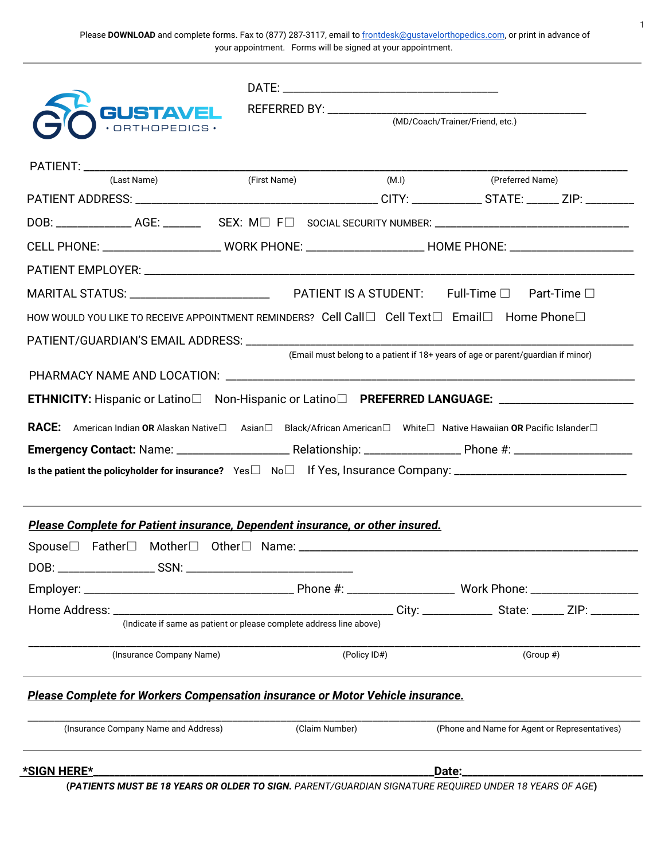Please **DOWNLOAD** and complete forms. Fax to (877) 287-3117, email to **frontdesk@gustavelorthopedics.com**, or print in advance of your appointment. Forms will be signed at your appointment.

| <b>GUSTAVEL</b>                                                                                                            |                                                                     | (MD/Coach/Trainer/Friend, etc.) |                                                                                  |  |  |  |  |
|----------------------------------------------------------------------------------------------------------------------------|---------------------------------------------------------------------|---------------------------------|----------------------------------------------------------------------------------|--|--|--|--|
|                                                                                                                            |                                                                     |                                 |                                                                                  |  |  |  |  |
|                                                                                                                            |                                                                     |                                 |                                                                                  |  |  |  |  |
| (Last Name)                                                                                                                | (First Name)                                                        | (M.l)                           | (Preferred Name)                                                                 |  |  |  |  |
|                                                                                                                            |                                                                     |                                 |                                                                                  |  |  |  |  |
|                                                                                                                            |                                                                     |                                 |                                                                                  |  |  |  |  |
|                                                                                                                            |                                                                     |                                 |                                                                                  |  |  |  |  |
|                                                                                                                            |                                                                     |                                 |                                                                                  |  |  |  |  |
| HOW WOULD YOU LIKE TO RECEIVE APPOINTMENT REMINDERS? Cell Call $\Box$ Cell Text $\Box$ Email $\Box$ Home Phone $\Box$      |                                                                     |                                 |                                                                                  |  |  |  |  |
|                                                                                                                            |                                                                     |                                 |                                                                                  |  |  |  |  |
|                                                                                                                            |                                                                     |                                 | (Email must belong to a patient if 18+ years of age or parent/guardian if minor) |  |  |  |  |
|                                                                                                                            |                                                                     |                                 |                                                                                  |  |  |  |  |
| <b>ETHNICITY:</b> Hispanic or Latino□ Non-Hispanic or Latino□ PREFERRED LANGUAGE: _______________________                  |                                                                     |                                 |                                                                                  |  |  |  |  |
| <b>RACE:</b> American Indian OR Alaskan Native□ Asian□ Black/African American□ White□ Native Hawaiian OR Pacific Islander□ |                                                                     |                                 |                                                                                  |  |  |  |  |
|                                                                                                                            |                                                                     |                                 |                                                                                  |  |  |  |  |
|                                                                                                                            |                                                                     |                                 |                                                                                  |  |  |  |  |
|                                                                                                                            |                                                                     |                                 |                                                                                  |  |  |  |  |
| Please Complete for Patient insurance, Dependent insurance, or other insured.                                              |                                                                     |                                 |                                                                                  |  |  |  |  |
|                                                                                                                            |                                                                     |                                 |                                                                                  |  |  |  |  |
|                                                                                                                            |                                                                     |                                 |                                                                                  |  |  |  |  |
|                                                                                                                            |                                                                     |                                 |                                                                                  |  |  |  |  |
|                                                                                                                            |                                                                     |                                 |                                                                                  |  |  |  |  |
|                                                                                                                            | (Indicate if same as patient or please complete address line above) |                                 |                                                                                  |  |  |  |  |
| (Insurance Company Name)                                                                                                   |                                                                     | (Policy ID#)                    | $(Group \#)$                                                                     |  |  |  |  |
| Please Complete for Workers Compensation insurance or Motor Vehicle insurance.                                             |                                                                     |                                 |                                                                                  |  |  |  |  |
| (Insurance Company Name and Address)                                                                                       | (Claim Number)                                                      |                                 | (Phone and Name for Agent or Representatives)                                    |  |  |  |  |
| *SIGN HERE*                                                                                                                |                                                                     |                                 | Date:_                                                                           |  |  |  |  |
| (PATIENTS MUST BE 18 YEARS OR OLDER TO SIGN. PARENT/GUARDIAN SIGNATURE REQUIRED UNDER 18 YEARS OF AGE)                     |                                                                     |                                 |                                                                                  |  |  |  |  |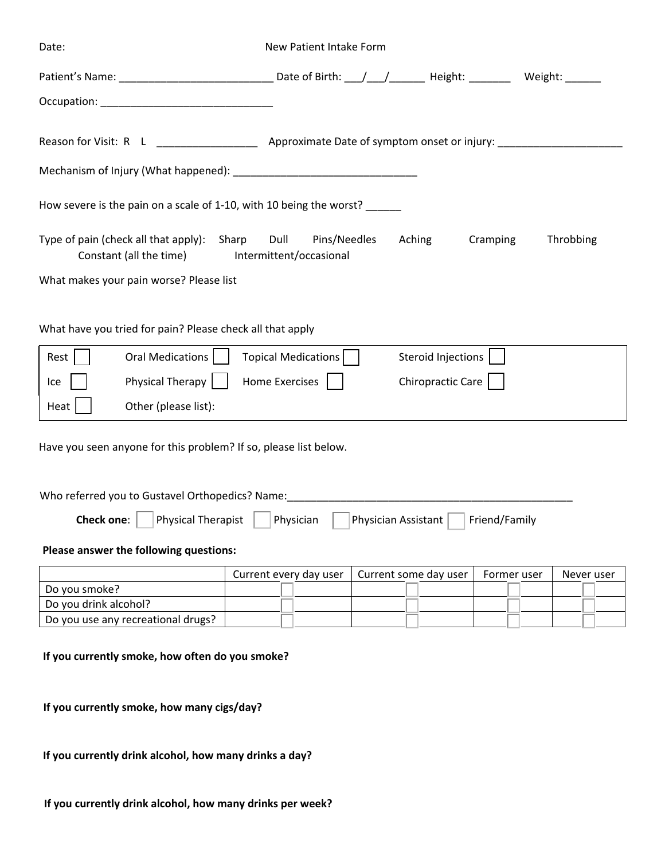| Date:                                                                                                                                              | New Patient Intake Form                         |                                         |               |            |
|----------------------------------------------------------------------------------------------------------------------------------------------------|-------------------------------------------------|-----------------------------------------|---------------|------------|
| Patient's Name: ___________________________________Date of Birth: ___/___/________Height: __________ Weight: _______                               |                                                 |                                         |               |            |
|                                                                                                                                                    |                                                 |                                         |               |            |
| Reason for Visit: R L _____________________ Approximate Date of symptom onset or injury: ____________________                                      |                                                 |                                         |               |            |
|                                                                                                                                                    |                                                 |                                         |               |            |
| How severe is the pain on a scale of 1-10, with 10 being the worst? ______                                                                         |                                                 |                                         |               |            |
| Type of pain (check all that apply): Sharp<br>Constant (all the time)                                                                              | Dull<br>Pins/Needles<br>Intermittent/occasional | Aching                                  | Cramping      | Throbbing  |
| What makes your pain worse? Please list                                                                                                            |                                                 |                                         |               |            |
| What have you tried for pain? Please check all that apply<br>Rest<br>Oral Medications  <br>Physical Therapy<br>Ice<br>Other (please list):<br>Heat | Topical Medications<br>Home Exercises           | Steroid Injections<br>Chiropractic Care |               |            |
| Have you seen anyone for this problem? If so, please list below.                                                                                   |                                                 |                                         |               |            |
| Who referred you to Gustavel Orthopedics? Name:                                                                                                    |                                                 |                                         |               |            |
| <b>Check one:</b><br><b>Physical Therapist</b>                                                                                                     | Physician                                       | Physician Assistant                     | Friend/Family |            |
| Please answer the following questions:                                                                                                             |                                                 |                                         |               |            |
|                                                                                                                                                    | Current every day user                          | Current some day user                   | Former user   | Never user |
| Do you smoke?                                                                                                                                      |                                                 |                                         |               |            |
| Do you drink alcohol?                                                                                                                              |                                                 |                                         |               |            |
| Do you use any recreational drugs?                                                                                                                 |                                                 |                                         |               |            |
| If you currently smoke, how often do you smoke?                                                                                                    |                                                 |                                         |               |            |

**If you currently smoke, how many cigs/day?**

**If you currently drink alcohol, how many drinks a day?**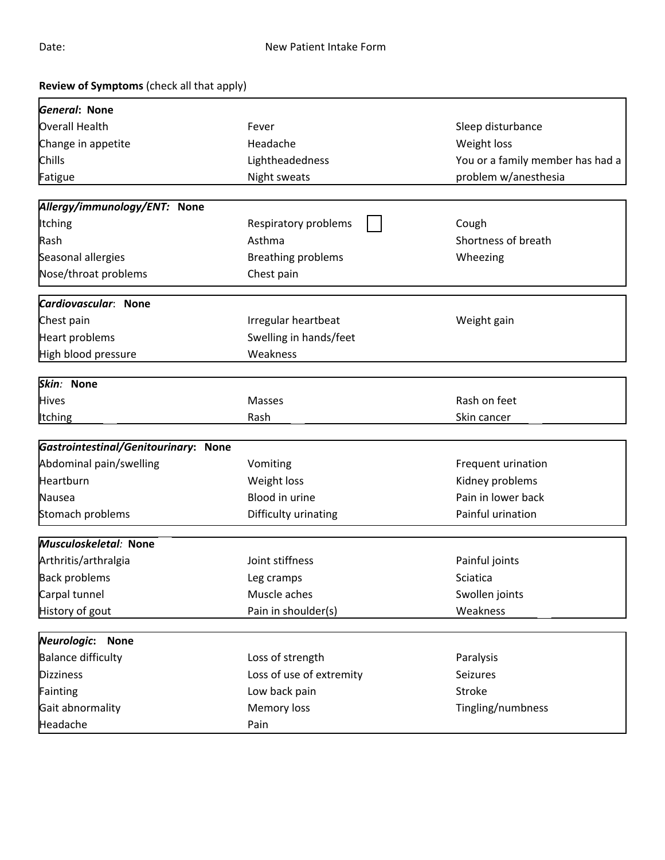| Review of Symptoms (check all that apply) |                           |                                  |
|-------------------------------------------|---------------------------|----------------------------------|
| General: None                             |                           |                                  |
| Overall Health                            | Fever                     | Sleep disturbance                |
| Change in appetite                        | Headache                  | Weight loss                      |
| Chills                                    | Lightheadedness           | You or a family member has had a |
| Fatigue                                   | Night sweats              | problem w/anesthesia             |
| Allergy/immunology/ENT: None              |                           |                                  |
| <b>Itching</b>                            | Respiratory problems      | Cough                            |
| Rash                                      | Asthma                    | Shortness of breath              |
| Seasonal allergies                        | <b>Breathing problems</b> | Wheezing                         |
| Nose/throat problems                      | Chest pain                |                                  |
| Cardiovascular: None                      |                           |                                  |
| Chest pain                                | Irregular heartbeat       | Weight gain                      |
| Heart problems                            | Swelling in hands/feet    |                                  |
| High blood pressure                       | Weakness                  |                                  |
| Skin: None                                |                           |                                  |
| <b>Hives</b>                              | <b>Masses</b>             | Rash on feet                     |
| Itching                                   | Rash                      | Skin cancer                      |
|                                           |                           |                                  |
| Gastrointestinal/Genitourinary: None      |                           |                                  |
| Abdominal pain/swelling                   | Vomiting                  | Frequent urination               |
| Heartburn                                 | Weight loss               | Kidney problems                  |
| Nausea                                    | Blood in urine            | Pain in lower back               |
| Stomach problems                          | Difficulty urinating      | Painful urination                |
| Musculoskeletal: None                     |                           |                                  |
| Arthritis/arthralgia                      | Joint stiffness           | Painful joints                   |
| <b>Back problems</b>                      | Leg cramps                | Sciatica                         |
| Carpal tunnel                             | Muscle aches              | Swollen joints                   |
| History of gout                           | Pain in shoulder(s)       | Weakness                         |
| Neurologic: None                          |                           |                                  |
| <b>Balance difficulty</b>                 | Loss of strength          | Paralysis                        |
| Dizziness                                 | Loss of use of extremity  | Seizures                         |
| Fainting                                  | Low back pain             | Stroke                           |
| Gait abnormality                          | Memory loss               | Tingling/numbness                |
| Headache                                  | Pain                      |                                  |